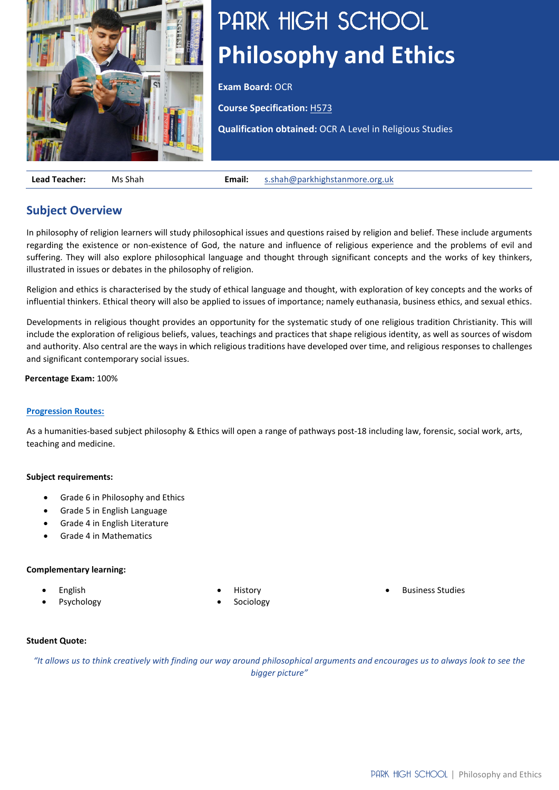

# PARK HIGH SCHOOL **Philosophy and Ethics**

**Exam Board:** OCR

**Course Specification:** [H573](https://www.ocr.org.uk/Images/242913-specification-accredited-a-level-gce-religious-studies-h573.pdf)

**Qualification obtained:** OCR A Level in Religious Studies

**Lead Teacher:** Ms Shah **Email:** [s.shah@parkhighstanmore.org.uk](mailto:s.shah@parkhighstanmore.org.uk)

## **Subject Overview**

In philosophy of religion learners will study philosophical issues and questions raised by religion and belief. These include arguments regarding the existence or non-existence of God, the nature and influence of religious experience and the problems of evil and suffering. They will also explore philosophical language and thought through significant concepts and the works of key thinkers, illustrated in issues or debates in the philosophy of religion.

Religion and ethics is characterised by the study of ethical language and thought, with exploration of key concepts and the works of influential thinkers. Ethical theory will also be applied to issues of importance; namely euthanasia, business ethics, and sexual ethics.

Developments in religious thought provides an opportunity for the systematic study of one religious tradition Christianity. This will include the exploration of religious beliefs, values, teachings and practices that shape religious identity, as well as sources of wisdom and authority. Also central are the ways in which religious traditions have developed over time, and religious responses to challenges and significant contemporary social issues.

## **Percentage Exam:** 100%

## **[Progression Routes:](https://www.parkhighstanmore.org.uk/careersandemploaybility/studentresources)**

As a humanities-based subject philosophy & Ethics will open a range of pathways post-18 including law, forensic, social work, arts, teaching and medicine.

## **Subject requirements:**

- Grade 6 in Philosophy and Ethics
- Grade 5 in English Language
- Grade 4 in English Literature
- Grade 4 in Mathematics

## **Complementary learning:**

- English
- **Psychology**
- **History**
- **Sociology**

• Business Studies

## **Student Quote:**

*"It allows us to think creatively with finding our way around philosophical arguments and encourages us to always look to see the bigger picture"*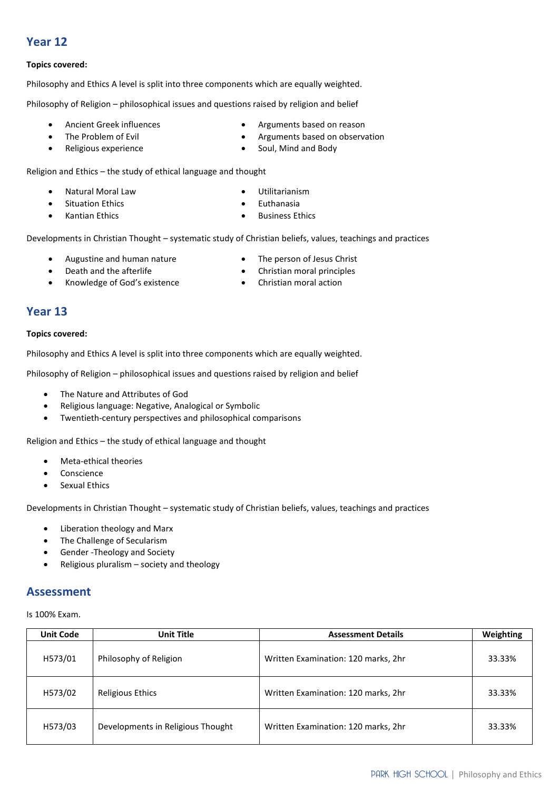## **Year 12**

## **Topics covered:**

Philosophy and Ethics A level is split into three components which are equally weighted.

Philosophy of Religion – philosophical issues and questions raised by religion and belief

- Ancient Greek influences
- The Problem of Evil
- Religious experience
- Arguments based on reason
- Arguments based on observation
- Soul, Mind and Body

Religion and Ethics – the study of ethical language and thought

- Natural Moral Law
- Situation Ethics
- Kantian Ethics
- 
- Developments in Christian Thought systematic study of Christian beliefs, values, teachings and practices
	- Augustine and human nature
	- Death and the afterlife
	- Knowledge of God's existence
- The person of Jesus Christ
- Christian moral principles
- Christian moral action

## **Year 13**

## **Topics covered:**

Philosophy and Ethics A level is split into three components which are equally weighted.

Philosophy of Religion – philosophical issues and questions raised by religion and belief

- The Nature and Attributes of God
- Religious language: Negative, Analogical or Symbolic
- Twentieth-century perspectives and philosophical comparisons

Religion and Ethics – the study of ethical language and thought

- Meta-ethical theories
- Conscience
- Sexual Ethics

Developments in Christian Thought – systematic study of Christian beliefs, values, teachings and practices

- Liberation theology and Marx
- The Challenge of Secularism
- Gender -Theology and Society
- Religious pluralism society and theology

## **Assessment**

Is 100% Exam.

| <b>Unit Code</b> | <b>Unit Title</b>                 | <b>Assessment Details</b>           | Weighting |
|------------------|-----------------------------------|-------------------------------------|-----------|
| H573/01          | Philosophy of Religion            | Written Examination: 120 marks, 2hr | 33.33%    |
| H573/02          | Religious Ethics                  | Written Examination: 120 marks, 2hr | 33.33%    |
| H573/03          | Developments in Religious Thought | Written Examination: 120 marks, 2hr | 33.33%    |

- Utilitarianism • Euthanasia
	- **Business Ethics**